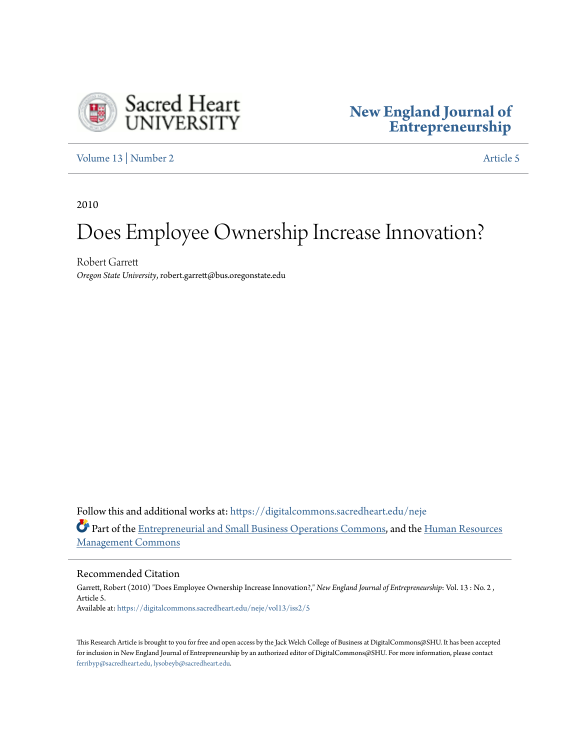

# **[New England Journal of](https://digitalcommons.sacredheart.edu/neje?utm_source=digitalcommons.sacredheart.edu%2Fneje%2Fvol13%2Fiss2%2F5&utm_medium=PDF&utm_campaign=PDFCoverPages) [Entrepreneurship](https://digitalcommons.sacredheart.edu/neje?utm_source=digitalcommons.sacredheart.edu%2Fneje%2Fvol13%2Fiss2%2F5&utm_medium=PDF&utm_campaign=PDFCoverPages)**

[Volume 13](https://digitalcommons.sacredheart.edu/neje/vol13?utm_source=digitalcommons.sacredheart.edu%2Fneje%2Fvol13%2Fiss2%2F5&utm_medium=PDF&utm_campaign=PDFCoverPages) | [Number 2](https://digitalcommons.sacredheart.edu/neje/vol13/iss2?utm_source=digitalcommons.sacredheart.edu%2Fneje%2Fvol13%2Fiss2%2F5&utm_medium=PDF&utm_campaign=PDFCoverPages) [Article 5](https://digitalcommons.sacredheart.edu/neje/vol13/iss2/5?utm_source=digitalcommons.sacredheart.edu%2Fneje%2Fvol13%2Fiss2%2F5&utm_medium=PDF&utm_campaign=PDFCoverPages)

2010

# Does Employee Ownership Increase Innovation?

Robert Garrett *Oregon State University*, robert.garrett@bus.oregonstate.edu

Follow this and additional works at: [https://digitalcommons.sacredheart.edu/neje](https://digitalcommons.sacredheart.edu/neje?utm_source=digitalcommons.sacredheart.edu%2Fneje%2Fvol13%2Fiss2%2F5&utm_medium=PDF&utm_campaign=PDFCoverPages) Part of the [Entrepreneurial and Small Business Operations Commons](http://network.bepress.com/hgg/discipline/630?utm_source=digitalcommons.sacredheart.edu%2Fneje%2Fvol13%2Fiss2%2F5&utm_medium=PDF&utm_campaign=PDFCoverPages), and the [Human Resources](http://network.bepress.com/hgg/discipline/633?utm_source=digitalcommons.sacredheart.edu%2Fneje%2Fvol13%2Fiss2%2F5&utm_medium=PDF&utm_campaign=PDFCoverPages) [Management Commons](http://network.bepress.com/hgg/discipline/633?utm_source=digitalcommons.sacredheart.edu%2Fneje%2Fvol13%2Fiss2%2F5&utm_medium=PDF&utm_campaign=PDFCoverPages)

Recommended Citation

Garrett, Robert (2010) "Does Employee Ownership Increase Innovation?," *New England Journal of Entrepreneurship*: Vol. 13 : No. 2 , Article 5. Available at: [https://digitalcommons.sacredheart.edu/neje/vol13/iss2/5](https://digitalcommons.sacredheart.edu/neje/vol13/iss2/5?utm_source=digitalcommons.sacredheart.edu%2Fneje%2Fvol13%2Fiss2%2F5&utm_medium=PDF&utm_campaign=PDFCoverPages)

This Research Article is brought to you for free and open access by the Jack Welch College of Business at DigitalCommons@SHU. It has been accepted for inclusion in New England Journal of Entrepreneurship by an authorized editor of DigitalCommons@SHU. For more information, please contact [ferribyp@sacredheart.edu, lysobeyb@sacredheart.edu.](mailto:ferribyp@sacredheart.edu,%20lysobeyb@sacredheart.edu)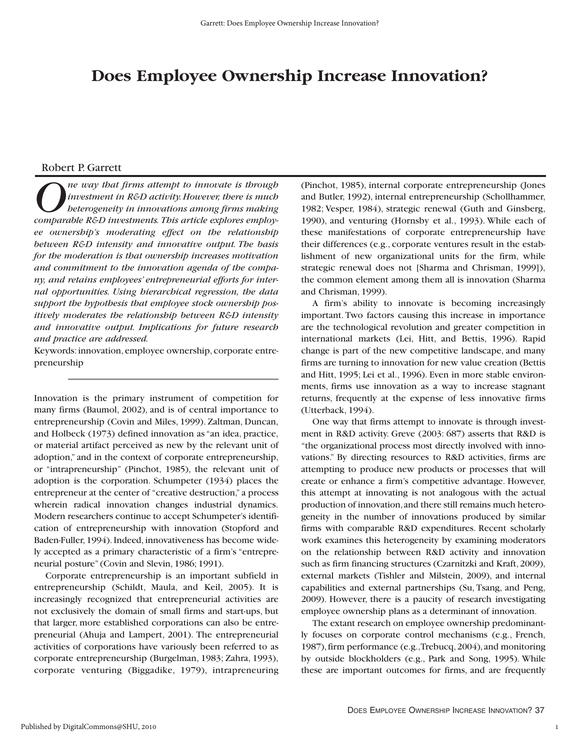# **Does Employee Ownership Increase Innovation?**

#### Robert P. Garrett

**O** *ne way that firms attempt to innovate is through investment in R&D activity. However, there is much beterogeneity in innovations among firms making combarable R&D investments. This article explores emblovinvestment in R&D activity.However, there is much heterogeneity in innovations among firms making comparable R&D investments. This article explores employee ownership's moderating effect on the relationship between R&D intensity and innovative output. The basis for the moderation is that ownership increases motivation and commitment to the innovation agenda of the company, and retains employees' entrepreneurial efforts for internal opportunities. Using hierarchical regression, the data support the hypothesis that employee stock ownership positively moderates the relationship between R&D intensity and innovative output. Implications for future research and practice are addressed.*

Keywords: innovation, employee ownership, corporate entrepreneurship

Innovation is the primary instrument of competition for many firms (Baumol, 2002), and is of central importance to entrepreneurship (Covin and Miles, 1999). Zaltman, Duncan, and Holbeck (1973) defined innovation as "an idea, practice, or material artifact perceived as new by the relevant unit of adoption," and in the context of corporate entrepreneurship, or "intrapreneurship" (Pinchot, 1985), the relevant unit of adoption is the corporation. Schumpeter (1934) places the entrepreneur at the center of "creative destruction," a process wherein radical innovation changes industrial dynamics. Modern researchers continue to accept Schumpeter's identification of entrepreneurship with innovation (Stopford and Baden-Fuller, 1994). Indeed, innovativeness has become widely accepted as a primary characteristic of a firm's "entrepreneurial posture" (Covin and Slevin, 1986; 1991).

Corporate entrepreneurship is an important subfield in entrepreneurship (Schildt, Maula, and Keil, 2005). It is increasingly recognized that entrepreneurial activities are not exclusively the domain of small firms and start-ups, but that larger, more established corporations can also be entrepreneurial (Ahuja and Lampert, 2001). The entrepreneurial activities of corporations have variously been referred to as corporate entrepreneurship (Burgelman, 1983; Zahra, 1993), corporate venturing (Biggadike, 1979), intrapreneuring (Pinchot, 1985), internal corporate entrepreneurship (Jones and Butler, 1992), internal entrepreneurship (Schollhammer, 1982; Vesper, 1984), strategic renewal (Guth and Ginsberg, 1990), and venturing (Hornsby et al., 1993). While each of these manifestations of corporate entrepreneurship have their differences (e.g., corporate ventures result in the establishment of new organizational units for the firm, while strategic renewal does not [Sharma and Chrisman, 1999]), the common element among them all is innovation (Sharma and Chrisman, 1999).

A firm's ability to innovate is becoming increasingly important. Two factors causing this increase in importance are the technological revolution and greater competition in international markets (Lei, Hitt, and Bettis, 1996). Rapid change is part of the new competitive landscape, and many firms are turning to innovation for new value creation (Bettis and Hitt, 1995; Lei et al., 1996). Even in more stable environments, firms use innovation as a way to increase stagnant returns, frequently at the expense of less innovative firms (Utterback, 1994).

One way that firms attempt to innovate is through investment in R&D activity. Greve (2003: 687) asserts that R&D is "the organizational process most directly involved with innovations." By directing resources to R&D activities, firms are attempting to produce new products or processes that will create or enhance a firm's competitive advantage. However, this attempt at innovating is not analogous with the actual production of innovation,and there still remains much heterogeneity in the number of innovations produced by similar firms with comparable R&D expenditures. Recent scholarly work examines this heterogeneity by examining moderators on the relationship between R&D activity and innovation such as firm financing structures (Czarnitzki and Kraft, 2009), external markets (Tishler and Milstein, 2009), and internal capabilities and external partnerships (Su, Tsang, and Peng, 2009). However, there is a paucity of research investigating employee ownership plans as a determinant of innovation.

The extant research on employee ownership predominantly focuses on corporate control mechanisms (e.g., French, 1987), firm performance (e.g., Trebucq, 2004), and monitoring by outside blockholders (e.g., Park and Song, 1995). While these are important outcomes for firms, and are frequently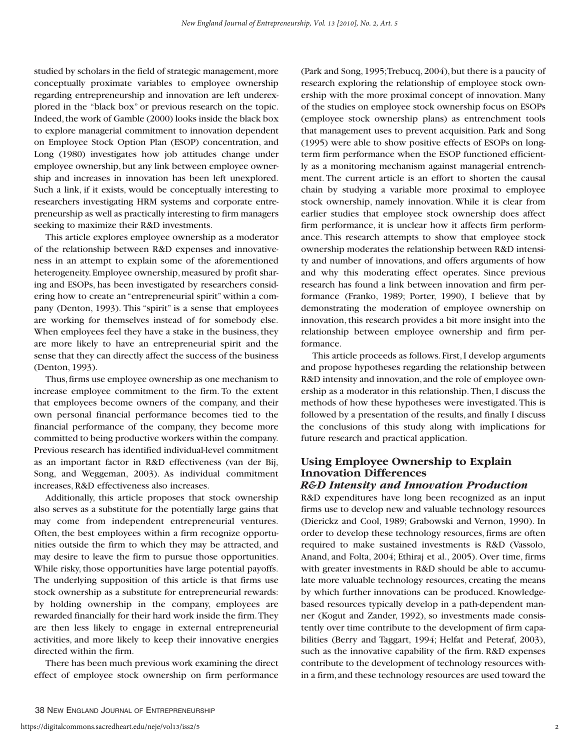studied by scholars in the field of strategic management, more conceptually proximate variables to employee ownership regarding entrepreneurship and innovation are left underexplored in the "black box" or previous research on the topic. Indeed, the work of Gamble (2000) looks inside the black box to explore managerial commitment to innovation dependent on Employee Stock Option Plan (ESOP) concentration, and Long (1980) investigates how job attitudes change under employee ownership, but any link between employee ownership and increases in innovation has been left unexplored. Such a link, if it exists, would be conceptually interesting to researchers investigating HRM systems and corporate entrepreneurship as well as practically interesting to firm managers seeking to maximize their R&D investments.

This article explores employee ownership as a moderator of the relationship between R&D expenses and innovativeness in an attempt to explain some of the aforementioned heterogeneity. Employee ownership, measured by profit sharing and ESOPs, has been investigated by researchers considering how to create an "entrepreneurial spirit" within a company (Denton, 1993). This "spirit" is a sense that employees are working for themselves instead of for somebody else. When employees feel they have a stake in the business, they are more likely to have an entrepreneurial spirit and the sense that they can directly affect the success of the business (Denton, 1993).

Thus,firms use employee ownership as one mechanism to increase employee commitment to the firm. To the extent that employees become owners of the company, and their own personal financial performance becomes tied to the financial performance of the company, they become more committed to being productive workers within the company. Previous research has identified individual-level commitment as an important factor in R&D effectiveness (van der Bij, Song, and Weggeman, 2003). As individual commitment increases, R&D effectiveness also increases.

Additionally, this article proposes that stock ownership also serves as a substitute for the potentially large gains that may come from independent entrepreneurial ventures. Often, the best employees within a firm recognize opportunities outside the firm to which they may be attracted, and may desire to leave the firm to pursue those opportunities. While risky, those opportunities have large potential payoffs. The underlying supposition of this article is that firms use stock ownership as a substitute for entrepreneurial rewards: by holding ownership in the company, employees are rewarded financially for their hard work inside the firm.They are then less likely to engage in external entrepreneurial activities, and more likely to keep their innovative energies directed within the firm.

There has been much previous work examining the direct effect of employee stock ownership on firm performance

(Park and Song, 1995;Trebucq, 2004), but there is a paucity of research exploring the relationship of employee stock ownership with the more proximal concept of innovation. Many of the studies on employee stock ownership focus on ESOPs (employee stock ownership plans) as entrenchment tools that management uses to prevent acquisition. Park and Song (1995) were able to show positive effects of ESOPs on longterm firm performance when the ESOP functioned efficiently as a monitoring mechanism against managerial entrenchment. The current article is an effort to shorten the causal chain by studying a variable more proximal to employee stock ownership, namely innovation. While it is clear from earlier studies that employee stock ownership does affect firm performance, it is unclear how it affects firm performance. This research attempts to show that employee stock ownership moderates the relationship between R&D intensity and number of innovations, and offers arguments of how and why this moderating effect operates. Since previous research has found a link between innovation and firm performance (Franko, 1989; Porter, 1990), I believe that by demonstrating the moderation of employee ownership on innovation, this research provides a bit more insight into the relationship between employee ownership and firm performance.

This article proceeds as follows.First,I develop arguments and propose hypotheses regarding the relationship between R&D intensity and innovation, and the role of employee ownership as a moderator in this relationship. Then, I discuss the methods of how these hypotheses were investigated. This is followed by a presentation of the results, and finally I discuss the conclusions of this study along with implications for future research and practical application.

# **Using Employee Ownership to Explain Innovation Differences**

# *R&D Intensity and Innovation Production*

R&D expenditures have long been recognized as an input firms use to develop new and valuable technology resources (Dierickz and Cool, 1989; Grabowski and Vernon, 1990). In order to develop these technology resources, firms are often required to make sustained investments is R&D (Vassolo, Anand, and Folta, 2004; Ethiraj et al., 2005). Over time, firms with greater investments in R&D should be able to accumulate more valuable technology resources, creating the means by which further innovations can be produced. Knowledgebased resources typically develop in a path-dependent manner (Kogut and Zander, 1992), so investments made consistently over time contribute to the development of firm capabilities (Berry and Taggart, 1994; Helfat and Peteraf, 2003), such as the innovative capability of the firm. R&D expenses contribute to the development of technology resources within a firm,and these technology resources are used toward the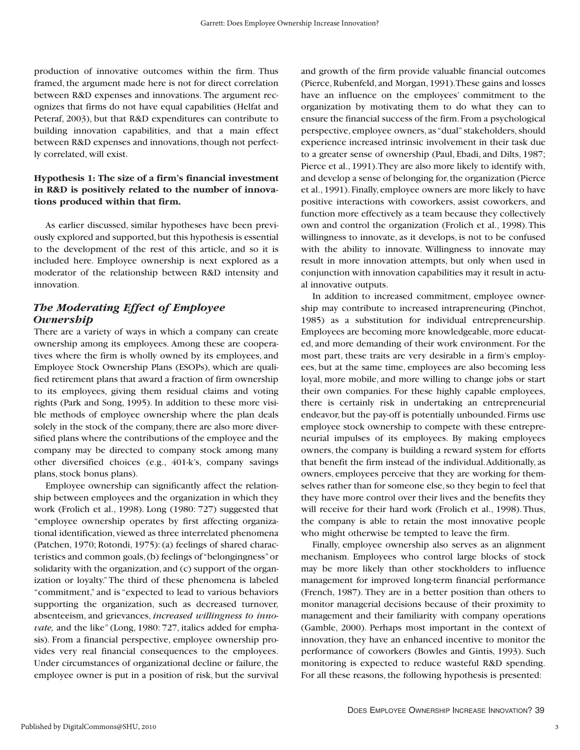production of innovative outcomes within the firm. Thus framed, the argument made here is not for direct correlation between R&D expenses and innovations. The argument recognizes that firms do not have equal capabilities (Helfat and Peteraf, 2003), but that R&D expenditures can contribute to building innovation capabilities, and that a main effect between R&D expenses and innovations, though not perfectly correlated, will exist.

# **Hypothesis 1: The size of a firm's financial investment in R&D is positively related to the number of innovations produced within that firm.**

As earlier discussed, similar hypotheses have been previously explored and supported,but this hypothesis is essential to the development of the rest of this article, and so it is included here. Employee ownership is next explored as a moderator of the relationship between R&D intensity and innovation.

# *The Moderating Effect of Employee Ownership*

There are a variety of ways in which a company can create ownership among its employees. Among these are cooperatives where the firm is wholly owned by its employees, and Employee Stock Ownership Plans (ESOPs), which are qualified retirement plans that award a fraction of firm ownership to its employees, giving them residual claims and voting rights (Park and Song, 1995). In addition to these more visible methods of employee ownership where the plan deals solely in the stock of the company, there are also more diversified plans where the contributions of the employee and the company may be directed to company stock among many other diversified choices (e.g., 401-k's, company savings plans, stock bonus plans).

Employee ownership can significantly affect the relationship between employees and the organization in which they work (Frolich et al., 1998). Long (1980: 727) suggested that "employee ownership operates by first affecting organizational identification, viewed as three interrelated phenomena (Patchen, 1970; Rotondi, 1975): (a) feelings of shared characteristics and common goals,(b) feelings of "belongingness"or solidarity with the organization,and (c) support of the organization or loyalty."The third of these phenomena is labeled "commitment," and is "expected to lead to various behaviors supporting the organization, such as decreased turnover, absenteeism, and grievances, *increased willingness to innovate,* and the like" (Long, 1980: 727, italics added for emphasis). From a financial perspective, employee ownership provides very real financial consequences to the employees. Under circumstances of organizational decline or failure, the employee owner is put in a position of risk, but the survival

and growth of the firm provide valuable financial outcomes (Pierce,Rubenfeld,and Morgan,1991).These gains and losses have an influence on the employees' commitment to the organization by motivating them to do what they can to ensure the financial success of the firm.From a psychological perspective, employee owners, as "dual" stakeholders, should experience increased intrinsic involvement in their task due to a greater sense of ownership (Paul, Ebadi, and Dilts, 1987; Pierce et al., 1991).They are also more likely to identify with, and develop a sense of belonging for,the organization (Pierce et al.,1991).Finally,employee owners are more likely to have positive interactions with coworkers, assist coworkers, and function more effectively as a team because they collectively own and control the organization (Frolich et al., 1998).This willingness to innovate, as it develops, is not to be confused with the ability to innovate. Willingness to innovate may result in more innovation attempts, but only when used in conjunction with innovation capabilities may it result in actual innovative outputs.

In addition to increased commitment, employee ownership may contribute to increased intrapreneuring (Pinchot, 1985) as a substitution for individual entrepreneurship. Employees are becoming more knowledgeable, more educated, and more demanding of their work environment. For the most part, these traits are very desirable in a firm's employees, but at the same time, employees are also becoming less loyal, more mobile, and more willing to change jobs or start their own companies. For these highly capable employees, there is certainly risk in undertaking an entrepreneurial endeavor, but the pay-off is potentially unbounded. Firms use employee stock ownership to compete with these entrepreneurial impulses of its employees. By making employees owners, the company is building a reward system for efforts that benefit the firm instead of the individual.Additionally, as owners, employees perceive that they are working for themselves rather than for someone else, so they begin to feel that they have more control over their lives and the benefits they will receive for their hard work (Frolich et al., 1998).Thus, the company is able to retain the most innovative people who might otherwise be tempted to leave the firm.

Finally, employee ownership also serves as an alignment mechanism. Employees who control large blocks of stock may be more likely than other stockholders to influence management for improved long-term financial performance (French, 1987). They are in a better position than others to monitor managerial decisions because of their proximity to management and their familiarity with company operations (Gamble, 2000). Perhaps most important in the context of innovation, they have an enhanced incentive to monitor the performance of coworkers (Bowles and Gintis, 1993). Such monitoring is expected to reduce wasteful R&D spending. For all these reasons, the following hypothesis is presented: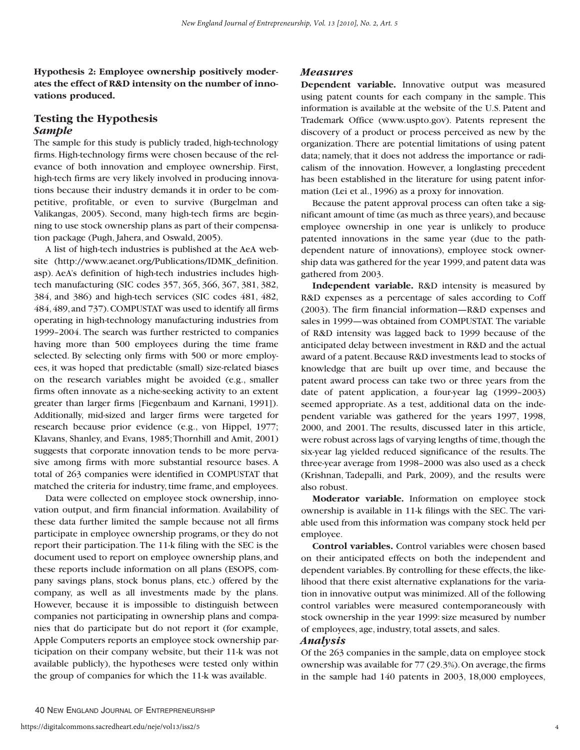**Hypothesis 2: Employee ownership positively moderates the effect of R&D intensity on the number of innovations produced.**

# **Testing the Hypothesis** *Sample*

The sample for this study is publicly traded, high-technology firms. High-technology firms were chosen because of the relevance of both innovation and employee ownership. First, high-tech firms are very likely involved in producing innovations because their industry demands it in order to be competitive, profitable, or even to survive (Burgelman and Valikangas, 2005). Second, many high-tech firms are beginning to use stock ownership plans as part of their compensation package (Pugh, Jahera, and Oswald, 2005).

A list of high-tech industries is published at the AeA website (http://www.aeanet.org/Publications/IDMK\_definition. asp). AeA's definition of high-tech industries includes hightech manufacturing (SIC codes 357, 365, 366, 367, 381, 382, 384, and 386) and high-tech services (SIC codes 481, 482, 484,489,and 737).COMPUSTAT was used to identify all firms operating in high-technology manufacturing industries from 1999–2004. The search was further restricted to companies having more than 500 employees during the time frame selected. By selecting only firms with 500 or more employees, it was hoped that predictable (small) size-related biases on the research variables might be avoided (e.g., smaller firms often innovate as a niche-seeking activity to an extent greater than larger firms [Fiegenbaum and Karnani, 1991]). Additionally, mid-sized and larger firms were targeted for research because prior evidence (e.g., von Hippel, 1977; Klavans, Shanley, and Evans, 1985;Thornhill and Amit, 2001) suggests that corporate innovation tends to be more pervasive among firms with more substantial resource bases. A total of 263 companies were identified in COMPUSTAT that matched the criteria for industry, time frame, and employees.

Data were collected on employee stock ownership, innovation output, and firm financial information. Availability of these data further limited the sample because not all firms participate in employee ownership programs, or they do not report their participation. The 11-k filing with the SEC is the document used to report on employee ownership plans, and these reports include information on all plans (ESOPS, company savings plans, stock bonus plans, etc.) offered by the company, as well as all investments made by the plans. However, because it is impossible to distinguish between companies not participating in ownership plans and companies that do participate but do not report it (for example, Apple Computers reports an employee stock ownership participation on their company website, but their 11-k was not available publicly), the hypotheses were tested only within the group of companies for which the 11-k was available.

#### *Measures*

**Dependent variable.** Innovative output was measured using patent counts for each company in the sample. This information is available at the website of the U.S. Patent and Trademark Office (www.uspto.gov). Patents represent the discovery of a product or process perceived as new by the organization. There are potential limitations of using patent data; namely, that it does not address the importance or radicalism of the innovation. However, a longlasting precedent has been established in the literature for using patent information (Lei et al., 1996) as a proxy for innovation.

Because the patent approval process can often take a significant amount of time (as much as three years),and because employee ownership in one year is unlikely to produce patented innovations in the same year (due to the pathdependent nature of innovations), employee stock ownership data was gathered for the year 1999, and patent data was gathered from 2003.

**Independent variable.** R&D intensity is measured by R&D expenses as a percentage of sales according to Coff (2003). The firm financial information—R&D expenses and sales in 1999—was obtained from COMPUSTAT. The variable of R&D intensity was lagged back to 1999 because of the anticipated delay between investment in R&D and the actual award of a patent.Because R&D investments lead to stocks of knowledge that are built up over time, and because the patent award process can take two or three years from the date of patent application, a four-year lag (1999–2003) seemed appropriate. As a test, additional data on the independent variable was gathered for the years 1997, 1998, 2000, and 2001. The results, discussed later in this article, were robust across lags of varying lengths of time, though the six-year lag yielded reduced significance of the results. The three-year average from 1998–2000 was also used as a check (Krishnan, Tadepalli, and Park, 2009), and the results were also robust.

**Moderator variable.** Information on employee stock ownership is available in 11-k filings with the SEC. The variable used from this information was company stock held per employee.

**Control variables.** Control variables were chosen based on their anticipated effects on both the independent and dependent variables. By controlling for these effects, the likelihood that there exist alternative explanations for the variation in innovative output was minimized. All of the following control variables were measured contemporaneously with stock ownership in the year 1999: size measured by number of employees, age, industry, total assets, and sales.

#### *Analysis*

Of the 263 companies in the sample, data on employee stock ownership was available for 77 (29.3%). On average, the firms in the sample had 140 patents in 2003, 18,000 employees,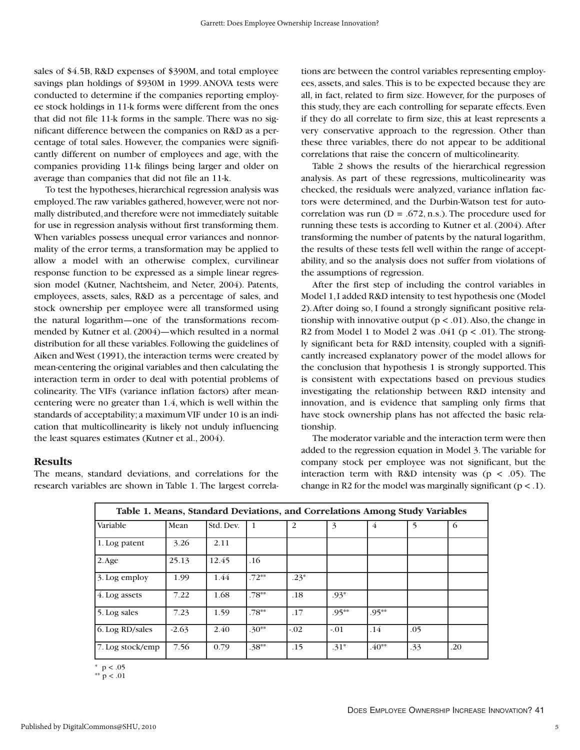sales of \$4.5B, R&D expenses of \$390M, and total employee savings plan holdings of \$930M in 1999. ANOVA tests were conducted to determine if the companies reporting employee stock holdings in 11-k forms were different from the ones that did not file 11-k forms in the sample. There was no significant difference between the companies on R&D as a percentage of total sales. However, the companies were significantly different on number of employees and age, with the companies providing 11-k filings being larger and older on average than companies that did not file an 11-k.

To test the hypotheses, hierarchical regression analysis was employed. The raw variables gathered, however, were not normally distributed,and therefore were not immediately suitable for use in regression analysis without first transforming them. When variables possess unequal error variances and nonnormality of the error terms, a transformation may be applied to allow a model with an otherwise complex, curvilinear response function to be expressed as a simple linear regression model (Kutner, Nachtsheim, and Neter, 2004). Patents, employees, assets, sales, R&D as a percentage of sales, and stock ownership per employee were all transformed using the natural logarithm—one of the transformations recommended by Kutner et al. (2004)—which resulted in a normal distribution for all these variables. Following the guidelines of Aiken and West (1991), the interaction terms were created by mean-centering the original variables and then calculating the interaction term in order to deal with potential problems of colinearity. The VIFs (variance inflation factors) after meancentering were no greater than 1.4, which is well within the standards of acceptability;a maximum VIF under 10 is an indication that multicollinearity is likely not unduly influencing the least squares estimates (Kutner et al., 2004).

## **Results**

The means, standard deviations, and correlations for the research variables are shown in Table 1. The largest correla-

tions are between the control variables representing employees, assets, and sales. This is to be expected because they are all, in fact, related to firm size. However, for the purposes of this study, they are each controlling for separate effects. Even if they do all correlate to firm size, this at least represents a very conservative approach to the regression. Other than these three variables, there do not appear to be additional correlations that raise the concern of multicolinearity.

Table 2 shows the results of the hierarchical regression analysis. As part of these regressions, multicolinearity was checked, the residuals were analyzed, variance inflation factors were determined, and the Durbin-Watson test for autocorrelation was run ( $D = .672$ , n.s.). The procedure used for running these tests is according to Kutner et al. (2004). After transforming the number of patents by the natural logarithm, the results of these tests fell well within the range of acceptability, and so the analysis does not suffer from violations of the assumptions of regression.

After the first step of including the control variables in Model 1,I added R&D intensity to test hypothesis one (Model 2).After doing so, I found a strongly significant positive relationship with innovative output ( $p < .01$ ). Also, the change in R2 from Model 1 to Model 2 was  $.041$  ( $p < .01$ ). The strongly significant beta for R&D intensity, coupled with a significantly increased explanatory power of the model allows for the conclusion that hypothesis 1 is strongly supported. This is consistent with expectations based on previous studies investigating the relationship between R&D intensity and innovation, and is evidence that sampling only firms that have stock ownership plans has not affected the basic relationship.

The moderator variable and the interaction term were then added to the regression equation in Model 3. The variable for company stock per employee was not significant, but the interaction term with R&D intensity was ( $p < .05$ ). The change in R2 for the model was marginally significant ( $p < .1$ ).

| Table 1. Means, Standard Deviations, and Correlations Among Study Variables |         |           |         |        |          |          |     |     |  |
|-----------------------------------------------------------------------------|---------|-----------|---------|--------|----------|----------|-----|-----|--|
| Variable                                                                    | Mean    | Std. Dev. |         | 2      | 3        | 4        | 5   | 6   |  |
| 1. Log patent                                                               | 3.26    | 2.11      |         |        |          |          |     |     |  |
| $2.$ Age                                                                    | 25.13   | 12.45     | .16     |        |          |          |     |     |  |
| 3. Log employ                                                               | 1.99    | 1.44      | $.72**$ | $.23*$ |          |          |     |     |  |
| 4. Log assets                                                               | 7.22    | 1.68      | $.78**$ | .18    | $.93*$   |          |     |     |  |
| 5. Log sales                                                                | 7.23    | 1.59      | $.78**$ | .17    | $.95***$ | $.95***$ |     |     |  |
| 6. Log RD/sales                                                             | $-2.63$ | 2.40      | $.30**$ | $-.02$ | $-.01$   | .14      | .05 |     |  |
| 7. Log stock/emp                                                            | 7.56    | 0.79      | $.38**$ | .15    | $.31*$   | $.40**$  | .33 | .20 |  |

 $p < .05$ 

\*\*  $p < .01$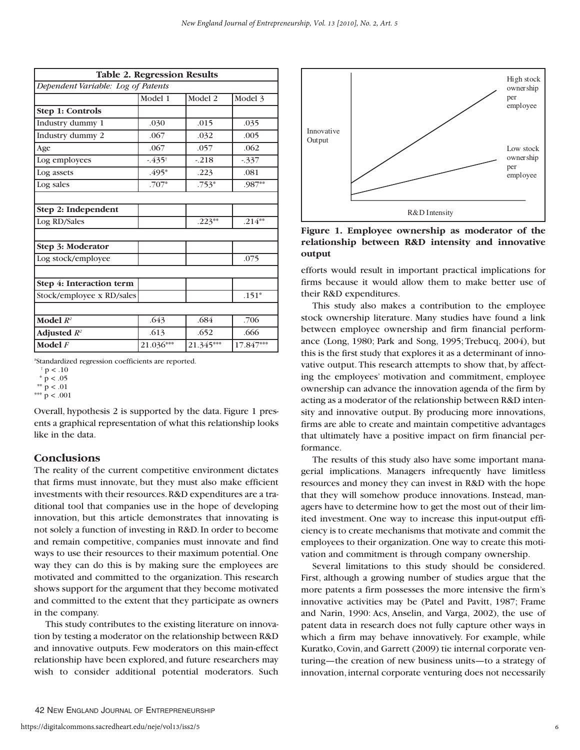| <b>Table 2. Regression Results</b> |                  |           |             |  |  |  |  |  |
|------------------------------------|------------------|-----------|-------------|--|--|--|--|--|
| Dependent Variable: Log of Patents |                  |           |             |  |  |  |  |  |
|                                    | Model 1          | Model 2   | Model 3     |  |  |  |  |  |
| Step 1: Controls                   |                  |           |             |  |  |  |  |  |
| Industry dummy 1                   | .030             | .015      | .035        |  |  |  |  |  |
| Industry dummy 2                   | .067             | .032      | .005        |  |  |  |  |  |
| Age                                | .067             | .057      | .062        |  |  |  |  |  |
| Log employees                      | $-435^{\dagger}$ | $-218$    | $-337$      |  |  |  |  |  |
| Log assets                         | $.495*$          | .223      | .081        |  |  |  |  |  |
| Log sales                          | $.707*$          | $.753*$   | $.987**$    |  |  |  |  |  |
|                                    |                  |           |             |  |  |  |  |  |
| Step 2: Independent                |                  |           |             |  |  |  |  |  |
| Log RD/Sales                       |                  | $.223**$  | $.214**$    |  |  |  |  |  |
|                                    |                  |           |             |  |  |  |  |  |
| Step 3: Moderator                  |                  |           |             |  |  |  |  |  |
| Log stock/employee                 |                  |           | .075        |  |  |  |  |  |
|                                    |                  |           |             |  |  |  |  |  |
| Step 4: Interaction term           |                  |           |             |  |  |  |  |  |
| Stock/employee x RD/sales          |                  |           | $.151*$     |  |  |  |  |  |
|                                    |                  |           |             |  |  |  |  |  |
| Model $R^2$                        | .643             | .684      | .706        |  |  |  |  |  |
| Adjusted $R^2$                     | .613             | .652      | .666        |  |  |  |  |  |
| Model $F$                          | 21.036***        | 21.345*** | $17.847***$ |  |  |  |  |  |

a Standardized regression coefficients are reported.

 $* \, p < .05$ 

 $*$   $p < .01$ 

\*\*\*  $p < .001$ 

Overall, hypothesis 2 is supported by the data. Figure 1 presents a graphical representation of what this relationship looks like in the data.

## **Conclusions**

The reality of the current competitive environment dictates that firms must innovate, but they must also make efficient investments with their resources.R&D expenditures are a traditional tool that companies use in the hope of developing innovation, but this article demonstrates that innovating is not solely a function of investing in R&D. In order to become and remain competitive, companies must innovate and find ways to use their resources to their maximum potential. One way they can do this is by making sure the employees are motivated and committed to the organization. This research shows support for the argument that they become motivated and committed to the extent that they participate as owners in the company.

This study contributes to the existing literature on innovation by testing a moderator on the relationship between R&D and innovative outputs. Few moderators on this main-effect relationship have been explored, and future researchers may wish to consider additional potential moderators. Such



**Figure 1. Employee ownership as moderator of the relationship between R&D intensity and innovative output**

efforts would result in important practical implications for firms because it would allow them to make better use of their R&D expenditures.

This study also makes a contribution to the employee stock ownership literature. Many studies have found a link between employee ownership and firm financial performance (Long, 1980; Park and Song, 1995; Trebucq, 2004), but this is the first study that explores it as a determinant of innovative output. This research attempts to show that, by affecting the employees' motivation and commitment, employee ownership can advance the innovation agenda of the firm by acting as a moderator of the relationship between R&D intensity and innovative output. By producing more innovations, firms are able to create and maintain competitive advantages that ultimately have a positive impact on firm financial performance.

The results of this study also have some important managerial implications. Managers infrequently have limitless resources and money they can invest in R&D with the hope that they will somehow produce innovations. Instead, managers have to determine how to get the most out of their limited investment. One way to increase this input-output efficiency is to create mechanisms that motivate and commit the employees to their organization.One way to create this motivation and commitment is through company ownership.

Several limitations to this study should be considered. First, although a growing number of studies argue that the more patents a firm possesses the more intensive the firm's innovative activities may be (Patel and Pavitt, 1987; Frame and Narin, 1990: Acs, Anselin, and Varga, 2002), the use of patent data in research does not fully capture other ways in which a firm may behave innovatively. For example, while Kuratko, Covin, and Garrett (2009) tie internal corporate venturing—the creation of new business units—to a strategy of innovation, internal corporate venturing does not necessarily

 $p < .10$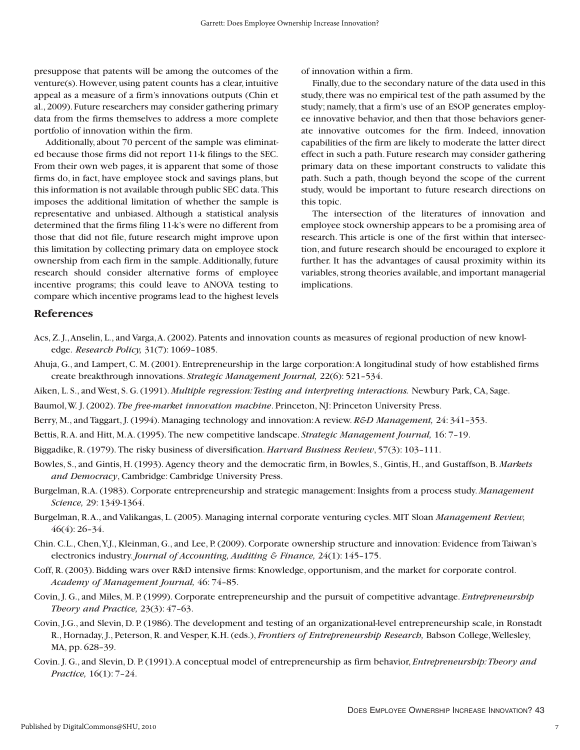presuppose that patents will be among the outcomes of the venture(s). However, using patent counts has a clear, intuitive appeal as a measure of a firm's innovations outputs (Chin et al.,2009).Future researchers may consider gathering primary data from the firms themselves to address a more complete portfolio of innovation within the firm.

Additionally, about 70 percent of the sample was eliminated because those firms did not report 11-k filings to the SEC. From their own web pages, it is apparent that some of those firms do, in fact, have employee stock and savings plans, but this information is not available through public SEC data. This imposes the additional limitation of whether the sample is representative and unbiased. Although a statistical analysis determined that the firms filing 11-k's were no different from those that did not file, future research might improve upon this limitation by collecting primary data on employee stock ownership from each firm in the sample. Additionally, future research should consider alternative forms of employee incentive programs; this could leave to ANOVA testing to compare which incentive programs lead to the highest levels

of innovation within a firm.

Finally,due to the secondary nature of the data used in this study, there was no empirical test of the path assumed by the study; namely, that a firm's use of an ESOP generates employee innovative behavior, and then that those behaviors generate innovative outcomes for the firm. Indeed, innovation capabilities of the firm are likely to moderate the latter direct effect in such a path. Future research may consider gathering primary data on these important constructs to validate this path. Such a path, though beyond the scope of the current study, would be important to future research directions on this topic.

The intersection of the literatures of innovation and employee stock ownership appears to be a promising area of research. This article is one of the first within that intersection, and future research should be encouraged to explore it further. It has the advantages of causal proximity within its variables, strong theories available, and important managerial implications.

### **References**

- Acs, Z. J.,Anselin, L., and Varga,A. (2002). Patents and innovation counts as measures of regional production of new knowledge. *Research Policy,* 31(7): 1069–1085.
- Ahuja, G., and Lampert, C. M. (2001). Entrepreneurship in the large corporation:A longitudinal study of how established firms create breakthrough innovations. *Strategic Management Journal,* 22(6): 521–534.
- Aiken, L. S., and West, S. G. (1991). *Multiple regression:Testing and interpreting interactions.* Newbury Park, CA, Sage.
- Baumol,W. J. (2002). *The free-market innovation machine*. Princeton, NJ: Princeton University Press.
- Berry, M., and Taggart, J. (1994). Managing technology and innovation:A review. *R&D Management,* 24: 341–353.
- Bettis, R.A. and Hitt, M.A. (1995). The new competitive landscape. *Strategic Management Journal,* 16: 7–19.
- Biggadike, R. (1979). The risky business of diversification. *Harvard Business Review*, 57(3): 103–111.
- Bowles, S., and Gintis, H. (1993). Agency theory and the democratic firm, in Bowles, S., Gintis, H., and Gustaffson, B. *Markets and Democracy*, Cambridge: Cambridge University Press.
- Burgelman, R.A. (1983). Corporate entrepreneurship and strategic management: Insights from a process study. *Management Science,* 29: 1349-1364.
- Burgelman, R.A., and Valikangas, L. (2005). Managing internal corporate venturing cycles. MIT Sloan *Management Review,* 46(4): 26–34.
- Chin. C.L., Chen,Y.J., Kleinman, G., and Lee, P. (2009). Corporate ownership structure and innovation: Evidence from Taiwan's electronics industry.*Journal of Accounting, Auditing & Finance,* 24(1): 145–175.
- Coff, R. (2003). Bidding wars over R&D intensive firms: Knowledge, opportunism, and the market for corporate control. *Academy of Management Journal,* 46: 74–85.
- Covin, J. G., and Miles, M. P. (1999). Corporate entrepreneurship and the pursuit of competitive advantage. *Entrepreneurship Theory and Practice,* 23(3): 47–63.
- Covin, J.G., and Slevin, D. P. (1986). The development and testing of an organizational-level entrepreneurship scale, in Ronstadt R., Hornaday, J., Peterson, R. and Vesper, K.H. (eds.), *Frontiers of Entrepreneurship Research,* Babson College,Wellesley, MA, pp. 628–39.
- Covin. J. G., and Slevin, D. P. (1991).A conceptual model of entrepreneurship as firm behavior, *Entrepreneurship:Theory and Practice,* 16(1): 7–24.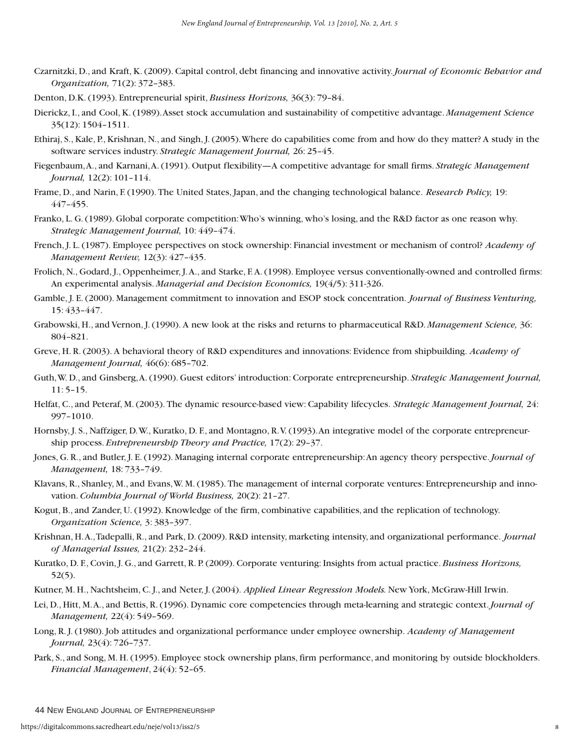- Czarnitzki, D., and Kraft, K. (2009). Capital control, debt financing and innovative activity.*Journal of Economic Behavior and Organization,* 71(2): 372–383.
- Denton, D.K. (1993). Entrepreneurial spirit, *Business Horizons,* 36(3): 79–84.
- Dierickz, I., and Cool, K. (1989).Asset stock accumulation and sustainability of competitive advantage. *Management Science* 35(12): 1504–1511.
- Ethiraj, S., Kale, P., Krishnan, N., and Singh, J. (2005).Where do capabilities come from and how do they matter? A study in the software services industry. *Strategic Management Journal,* 26: 25–45.
- Fiegenbaum,A., and Karnani,A. (1991). Output flexibility—A competitive advantage for small firms. *Strategic Management Journal,* 12(2): 101–114.
- Frame, D., and Narin, F. (1990). The United States, Japan, and the changing technological balance. *Research Policy,* 19: 447–455.
- Franko, L. G. (1989). Global corporate competition:Who's winning, who's losing, and the R&D factor as one reason why. *Strategic Management Journal,* 10: 449–474.
- French, J. L. (1987). Employee perspectives on stock ownership: Financial investment or mechanism of control? *Academy of Management Review,* 12(3): 427–435.
- Frolich, N., Godard, J., Oppenheimer, J.A., and Starke, F.A. (1998). Employee versus conventionally-owned and controlled firms: An experimental analysis. *Managerial and Decision Economics,* 19(4/5): 311-326.
- Gamble, J. E. (2000). Management commitment to innovation and ESOP stock concentration. *Journal of Business Venturing,* 15: 433–447.
- Grabowski, H., and Vernon, J. (1990). A new look at the risks and returns to pharmaceutical R&D. *Management Science,* 36: 804–821.
- Greve, H. R. (2003). A behavioral theory of R&D expenditures and innovations: Evidence from shipbuilding. *Academy of Management Journal,* 46(6): 685–702.
- Guth,W. D., and Ginsberg,A. (1990). Guest editors' introduction: Corporate entrepreneurship. *Strategic Management Journal,* 11: 5–15.
- Helfat, C., and Peteraf, M. (2003). The dynamic resource-based view: Capability lifecycles. *Strategic Management Journal,* 24: 997–1010.
- Hornsby, J. S., Naffziger, D.W., Kuratko, D. F., and Montagno, R.V. (1993).An integrative model of the corporate entrepreneurship process. *Entrepreneurship Theory and Practice,* 17(2): 29–37.
- Jones, G. R., and Butler, J. E. (1992). Managing internal corporate entrepreneurship:An agency theory perspective.*Journal of Management,* 18: 733–749.
- Klavans, R., Shanley, M., and Evans,W. M. (1985). The management of internal corporate ventures: Entrepreneurship and innovation. *Columbia Journal of World Business,* 20(2): 21–27.
- Kogut, B., and Zander, U. (1992). Knowledge of the firm, combinative capabilities, and the replication of technology. *Organization Science,* 3: 383–397.
- Krishnan, H.A.,Tadepalli, R., and Park, D. (2009). R&D intensity, marketing intensity, and organizational performance. *Journal of Managerial Issues,* 21(2): 232–244.
- Kuratko, D. F., Covin, J. G., and Garrett, R. P. (2009). Corporate venturing: Insights from actual practice. *Business Horizons,* 52(5).
- Kutner, M. H., Nachtsheim, C. J., and Neter, J. (2004). *Applied Linear Regression Models.* New York, McGraw-Hill Irwin.
- Lei, D., Hitt, M.A., and Bettis, R. (1996). Dynamic core competencies through meta-learning and strategic context.*Journal of Management,* 22(4): 549–569.
- Long, R. J. (1980). Job attitudes and organizational performance under employee ownership. *Academy of Management Journal,* 23(4): 726–737.
- Park, S., and Song, M. H. (1995). Employee stock ownership plans, firm performance, and monitoring by outside blockholders. *Financial Management*, 24(4): 52–65.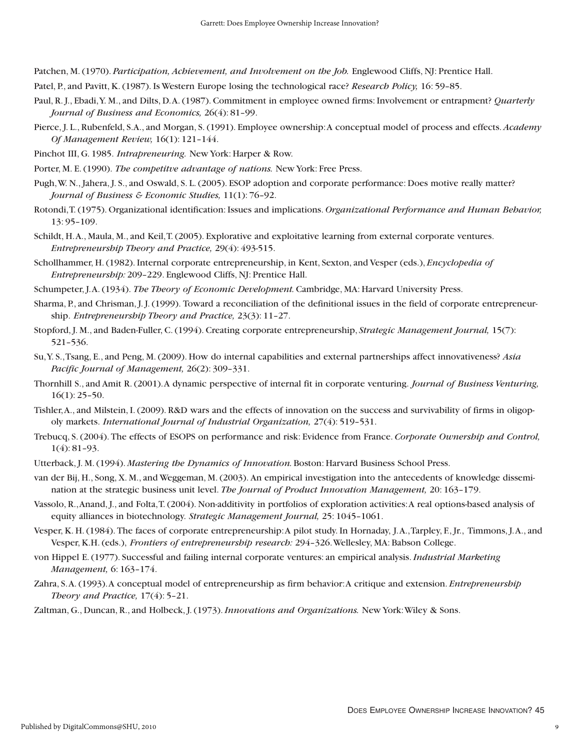Patchen, M. (1970). *Participation, Achievement, and Involvement on the Job.* Englewood Cliffs, NJ: Prentice Hall.

- Patel, P., and Pavitt, K. (1987). Is Western Europe losing the technological race? *Research Policy,* 16: 59–85.
- Paul, R. J., Ebadi,Y. M., and Dilts, D.A. (1987). Commitment in employee owned firms: Involvement or entrapment? *Quarterly Journal of Business and Economics,* 26(4): 81–99.
- Pierce, J. L., Rubenfeld, S.A., and Morgan, S. (1991). Employee ownership:A conceptual model of process and effects. *Academy Of Management Review,* 16(1): 121–144.
- Pinchot III, G. 1985. *Intrapreneuring.* New York: Harper & Row.
- Porter, M. E. (1990). *The competitve advantage of nations.* New York: Free Press.
- Pugh,W. N., Jahera, J. S., and Oswald, S. L. (2005). ESOP adoption and corporate performance: Does motive really matter? *Journal of Business & Economic Studies,* 11(1): 76–92.
- Rotondi,T. (1975). Organizational identification: Issues and implications. *Organizational Performance and Human Behavior,* 13: 95–109.
- Schildt, H.A., Maula, M., and Keil,T. (2005). Explorative and exploitative learning from external corporate ventures. *Entrepreneurship Theory and Practice,* 29(4): 493-515.
- Schollhammer, H. (1982). Internal corporate entrepreneurship, in Kent, Sexton, and Vesper (eds.), *Encyclopedia of Entrepreneurship:* 209–229. Englewood Cliffs, NJ: Prentice Hall.
- Schumpeter, J.A. (1934). *The Theory of Economic Development.* Cambridge, MA: Harvard University Press.
- Sharma, P., and Chrisman, J. J. (1999). Toward a reconciliation of the definitional issues in the field of corporate entrepreneurship. *Entrepreneurship Theory and Practice,* 23(3): 11–27.
- Stopford, J. M., and Baden-Fuller, C. (1994). Creating corporate entrepreneurship, *Strategic Management Journal,* 15(7): 521–536.
- Su,Y. S.,Tsang, E., and Peng, M. (2009). How do internal capabilities and external partnerships affect innovativeness? *Asia Pacific Journal of Management,* 26(2): 309–331.
- Thornhill S., and Amit R.(2001).A dynamic perspective of internal fit in corporate venturing. *Journal of Business Venturing,* 16(1): 25–50.
- Tishler,A., and Milstein, I. (2009). R&D wars and the effects of innovation on the success and survivability of firms in oligopoly markets. *International Journal of Industrial Organization,* 27(4): 519–531.
- Trebucq, S. (2004). The effects of ESOPS on performance and risk: Evidence from France. *Corporate Ownership and Control,* 1(4): 81–93.
- Utterback, J. M. (1994). *Mastering the Dynamics of Innovation.* Boston: Harvard Business School Press.
- van der Bij, H., Song, X. M., and Weggeman, M. (2003). An empirical investigation into the antecedents of knowledge dissemination at the strategic business unit level. *The Journal of Product Innovation Management,* 20: 163–179.
- Vassolo, R.,Anand, J., and Folta,T. (2004). Non-additivity in portfolios of exploration activities:A real options-based analysis of equity alliances in biotechnology. *Strategic Management Journal,* 25: 1045–1061.
- Vesper, K. H. (1984). The faces of corporate entrepreneurship:A pilot study. In Hornaday, J.A.,Tarpley, F., Jr., Timmons, J.A., and Vesper, K.H. (eds.), *Frontiers of entrepreneurship research:* 294–326.Wellesley, MA: Babson College.
- von Hippel E. (1977). Successful and failing internal corporate ventures: an empirical analysis.*Industrial Marketing Management,* 6: 163–174.
- Zahra, S.A. (1993).A conceptual model of entrepreneurship as firm behavior:A critique and extension. *Entrepreneurship Theory and Practice,* 17(4): 5–21.
- Zaltman, G., Duncan, R., and Holbeck, J. (1973).*Innovations and Organizations.* New York:Wiley & Sons.